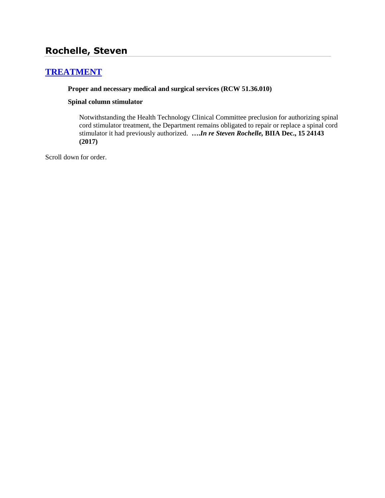# **Rochelle, Steven**

# **[TREATMENT](http://www.biia.wa.gov/SDSubjectIndex.html#TREATMENT)**

## **Proper and necessary medical and surgical services (RCW 51.36.010)**

#### **Spinal column stimulator**

Notwithstanding the Health Technology Clinical Committee preclusion for authorizing spinal cord stimulator treatment, the Department remains obligated to repair or replace a spinal cord stimulator it had previously authorized. **….***In re Steven Rochelle,* **BIIA Dec., 15 24143 (2017)**

Scroll down for order.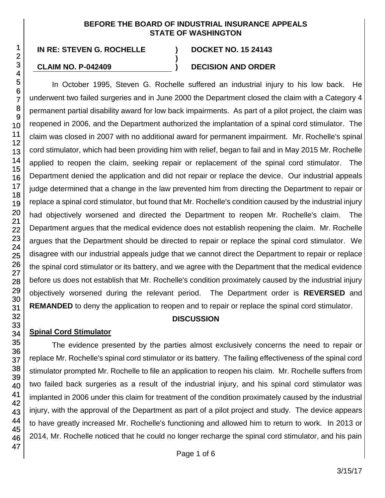### **BEFORE THE BOARD OF INDUSTRIAL INSURANCE APPEALS STATE OF WASHINGTON**

**)**

# **CLAIM NO. P-042409 ) DECISION AND ORDER**

In October 1995, Steven G. Rochelle suffered an industrial injury to his low back. He underwent two failed surgeries and in June 2000 the Department closed the claim with a Category 4 permanent partial disability award for low back impairments. As part of a pilot project, the claim was reopened in 2006, and the Department authorized the implantation of a spinal cord stimulator. The claim was closed in 2007 with no additional award for permanent impairment. Mr. Rochelle's spinal cord stimulator, which had been providing him with relief, began to fail and in May 2015 Mr. Rochelle applied to reopen the claim, seeking repair or replacement of the spinal cord stimulator. The Department denied the application and did not repair or replace the device. Our industrial appeals judge determined that a change in the law prevented him from directing the Department to repair or replace a spinal cord stimulator, but found that Mr. Rochelle's condition caused by the industrial injury had objectively worsened and directed the Department to reopen Mr. Rochelle's claim. The Department argues that the medical evidence does not establish reopening the claim. Mr. Rochelle argues that the Department should be directed to repair or replace the spinal cord stimulator. We disagree with our industrial appeals judge that we cannot direct the Department to repair or replace the spinal cord stimulator or its battery, and we agree with the Department that the medical evidence before us does not establish that Mr. Rochelle's condition proximately caused by the industrial injury objectively worsened during the relevant period. The Department order is **REVERSED** and **REMANDED** to deny the application to reopen and to repair or replace the spinal cord stimulator.

# **DISCUSSION**

# **Spinal Cord Stimulator**

The evidence presented by the parties almost exclusively concerns the need to repair or replace Mr. Rochelle's spinal cord stimulator or its battery. The failing effectiveness of the spinal cord stimulator prompted Mr. Rochelle to file an application to reopen his claim. Mr. Rochelle suffers from two failed back surgeries as a result of the industrial injury, and his spinal cord stimulator was implanted in 2006 under this claim for treatment of the condition proximately caused by the industrial injury, with the approval of the Department as part of a pilot project and study. The device appears to have greatly increased Mr. Rochelle's functioning and allowed him to return to work. In 2013 or 2014, Mr. Rochelle noticed that he could no longer recharge the spinal cord stimulator, and his pain

1 2 3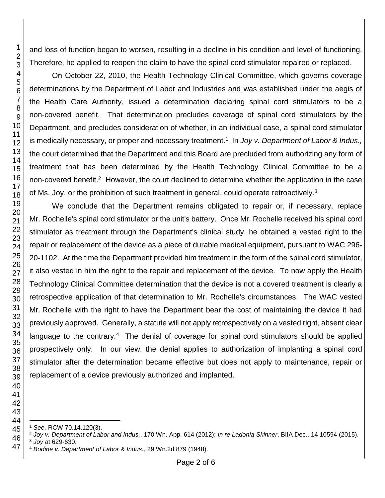and loss of function began to worsen, resulting in a decline in his condition and level of functioning. Therefore, he applied to reopen the claim to have the spinal cord stimulator repaired or replaced.

On October 22, 2010, the Health Technology Clinical Committee, which governs coverage determinations by the Department of Labor and Industries and was established under the aegis of the Health Care Authority, issued a determination declaring spinal cord stimulators to be a non-covered benefit. That determination precludes coverage of spinal cord stimulators by the Department, and precludes consideration of whether, in an individual case, a spinal cord stimulator is medically necessary, or proper and necessary treatment.<sup>1</sup> In *Joy v. Department of Labor & Indus.,* the court determined that the Department and this Board are precluded from authorizing any form of treatment that has been determined by the Health Technology Clinical Committee to be a non-covered benefit.<sup>2</sup> However, the court declined to determine whether the application in the case of Ms. Joy, or the prohibition of such treatment in general, could operate retroactively.<sup>3</sup>

We conclude that the Department remains obligated to repair or, if necessary, replace Mr. Rochelle's spinal cord stimulator or the unit's battery. Once Mr. Rochelle received his spinal cord stimulator as treatment through the Department's clinical study, he obtained a vested right to the repair or replacement of the device as a piece of durable medical equipment, pursuant to WAC 296- 20-1102. At the time the Department provided him treatment in the form of the spinal cord stimulator, it also vested in him the right to the repair and replacement of the device. To now apply the Health Technology Clinical Committee determination that the device is not a covered treatment is clearly a retrospective application of that determination to Mr. Rochelle's circumstances. The WAC vested Mr. Rochelle with the right to have the Department bear the cost of maintaining the device it had previously approved. Generally, a statute will not apply retrospectively on a vested right, absent clear language to the contrary.<sup>4</sup> The denial of coverage for spinal cord stimulators should be applied prospectively only. In our view, the denial applies to authorization of implanting a spinal cord stimulator after the determination became effective but does not apply to maintenance, repair or replacement of a device previously authorized and implanted.

l *See,* RCW 70.14.120(3).

*Joy v. Department of Labor and Indus.*, 170 Wn. App. 614 (2012); *In re Ladonia Skinner*, BIIA Dec., 14 10594 (2015).

 *Joy* at 629-630.

*Bodine v. Department of Labor & Indus.,* 29 Wn.2d 879 (1948).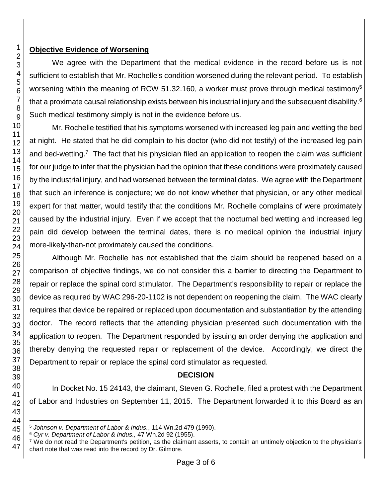## **Objective Evidence of Worsening**

We agree with the Department that the medical evidence in the record before us is not sufficient to establish that Mr. Rochelle's condition worsened during the relevant period. To establish worsening within the meaning of RCW 51.32.160, a worker must prove through medical testimony<sup>5</sup> that a proximate causal relationship exists between his industrial injury and the subsequent disability.<sup>6</sup> Such medical testimony simply is not in the evidence before us.

Mr. Rochelle testified that his symptoms worsened with increased leg pain and wetting the bed at night. He stated that he did complain to his doctor (who did not testify) of the increased leg pain and bed-wetting.<sup>7</sup> The fact that his physician filed an application to reopen the claim was sufficient for our judge to infer that the physician had the opinion that these conditions were proximately caused by the industrial injury, and had worsened between the terminal dates. We agree with the Department that such an inference is conjecture; we do not know whether that physician, or any other medical expert for that matter, would testify that the conditions Mr. Rochelle complains of were proximately caused by the industrial injury. Even if we accept that the nocturnal bed wetting and increased leg pain did develop between the terminal dates, there is no medical opinion the industrial injury more-likely-than-not proximately caused the conditions.

Although Mr. Rochelle has not established that the claim should be reopened based on a comparison of objective findings, we do not consider this a barrier to directing the Department to repair or replace the spinal cord stimulator. The Department's responsibility to repair or replace the device as required by WAC 296-20-1102 is not dependent on reopening the claim. The WAC clearly requires that device be repaired or replaced upon documentation and substantiation by the attending doctor. The record reflects that the attending physician presented such documentation with the application to reopen. The Department responded by issuing an order denying the application and thereby denying the requested repair or replacement of the device. Accordingly, we direct the Department to repair or replace the spinal cord stimulator as requested.

## **DECISION**

In Docket No. 15 24143, the claimant, Steven G. Rochelle, filed a protest with the Department of Labor and Industries on September 11, 2015. The Department forwarded it to this Board as an

l *Johnson v. Department of Labor & Indus.*, 114 Wn.2d 479 (1990).

*Cyr v. Department of Labor & Indus.,* 47 Wn.2d 92 (1955).

 We do not read the Department's petition, as the claimant asserts, to contain an untimely objection to the physician's chart note that was read into the record by Dr. Gilmore.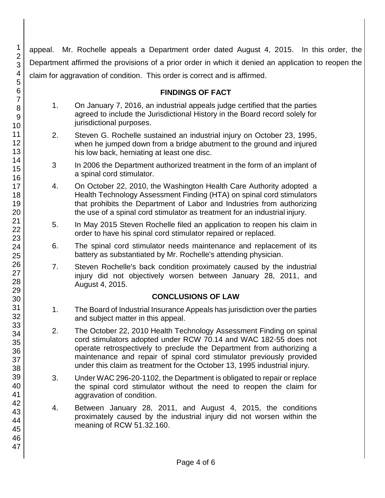appeal. Mr. Rochelle appeals a Department order dated August 4, 2015. In this order, the Department affirmed the provisions of a prior order in which it denied an application to reopen the claim for aggravation of condition. This order is correct and is affirmed.

## **FINDINGS OF FACT**

- 1. On January 7, 2016, an industrial appeals judge certified that the parties agreed to include the Jurisdictional History in the Board record solely for jurisdictional purposes.
- 2. Steven G. Rochelle sustained an industrial injury on October 23, 1995, when he jumped down from a bridge abutment to the ground and injured his low back, herniating at least one disc.
- 3 In 2006 the Department authorized treatment in the form of an implant of a spinal cord stimulator.
- 4. On October 22, 2010, the Washington Health Care Authority adopted a Health Technology Assessment Finding (HTA) on spinal cord stimulators that prohibits the Department of Labor and Industries from authorizing the use of a spinal cord stimulator as treatment for an industrial injury.
- 5. In May 2015 Steven Rochelle filed an application to reopen his claim in order to have his spinal cord stimulator repaired or replaced.
- 6. The spinal cord stimulator needs maintenance and replacement of its battery as substantiated by Mr. Rochelle's attending physician.
- 7. Steven Rochelle's back condition proximately caused by the industrial injury did not objectively worsen between January 28, 2011, and August 4, 2015.

## **CONCLUSIONS OF LAW**

- 1. The Board of Industrial Insurance Appeals has jurisdiction over the parties and subject matter in this appeal.
- 2. The October 22, 2010 Health Technology Assessment Finding on spinal cord stimulators adopted under RCW 70.14 and WAC 182-55 does not operate retrospectively to preclude the Department from authorizing a maintenance and repair of spinal cord stimulator previously provided under this claim as treatment for the October 13, 1995 industrial injury.
- 3. Under WAC 296-20-1102, the Department is obligated to repair or replace the spinal cord stimulator without the need to reopen the claim for aggravation of condition.
- 4. Between January 28, 2011, and August 4, 2015, the conditions proximately caused by the industrial injury did not worsen within the meaning of RCW 51.32.160.

1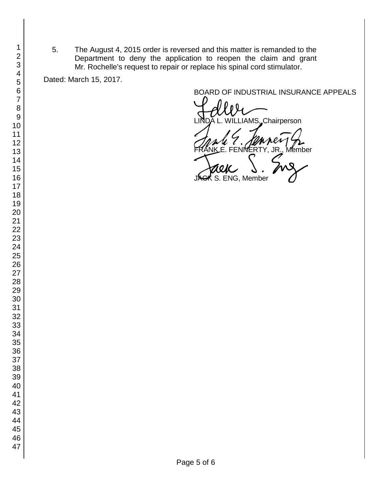5. The August 4, 2015 order is reversed and this matter is remanded to the Department to deny the application to reopen the claim and grant Mr. Rochelle's request to repair or replace his spinal cord stimulator.

Dated: March 15, 2017.

BOARD OF INDUSTRIAL INSURANCE APPEALS

LIAMS, Chairperson

FRANK E. FENNERTY, JR., Member<br>FRANK E. FENNERTY, JR., Member<br>JAGK S. ENG, Member

ENG, Member